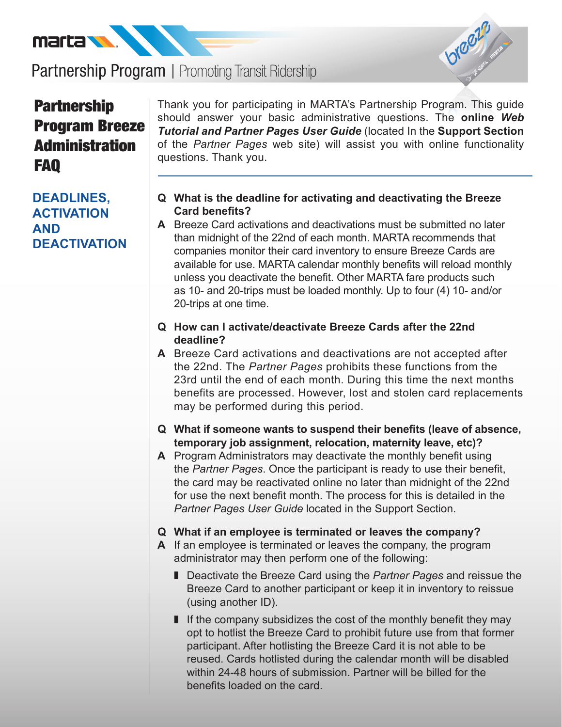



# **Partnership** Program Breeze **Administration** FAQ

**DEADLINES, ACTIVATION AND DEACTIVATION** Thank you for participating in MARTA's Partnership Program. This guide should answer your basic administrative questions. The **online** *Web Tutorial and Partner Pages User Guide* (located In the **Support Section**  of the *Partner Pages* web site) will assist you with online functionality questions. Thank you.

- **Q What is the deadline for activating and deactivating the Breeze Card benefits?**
- **A** Breeze Card activations and deactivations must be submitted no later than midnight of the 22nd of each month. MARTA recommends that companies monitor their card inventory to ensure Breeze Cards are available for use. MARTA calendar monthly benefits will reload monthly unless you deactivate the benefit. Other MARTA fare products such as 10- and 20-trips must be loaded monthly. Up to four (4) 10- and/or 20-trips at one time.
- **Q How can I activate/deactivate Breeze Cards after the 22nd deadline?**
- **A** Breeze Card activations and deactivations are not accepted after the 22nd. The *Partner Pages* prohibits these functions from the 23rd until the end of each month. During this time the next months benefits are processed. However, lost and stolen card replacements may be performed during this period.
- **Q What if someone wants to suspend their benefits (leave of absence, temporary job assignment, relocation, maternity leave, etc)?**
- **A** Program Administrators may deactivate the monthly benefit using the *Partner Pages*. Once the participant is ready to use their benefit, the card may be reactivated online no later than midnight of the 22nd for use the next benefit month. The process for this is detailed in the *Partner Pages User Guide* located in the Support Section.
- **Q What if an employee is terminated or leaves the company?**
- **A** If an employee is terminated or leaves the company, the program administrator may then perform one of the following:
	- Deactivate the Breeze Card using the *Partner Pages* and reissue the Breeze Card to another participant or keep it in inventory to reissue (using another ID).
	- $\blacksquare$  If the company subsidizes the cost of the monthly benefit they may opt to hotlist the Breeze Card to prohibit future use from that former participant. After hotlisting the Breeze Card it is not able to be reused. Cards hotlisted during the calendar month will be disabled within 24-48 hours of submission. Partner will be billed for the benefits loaded on the card.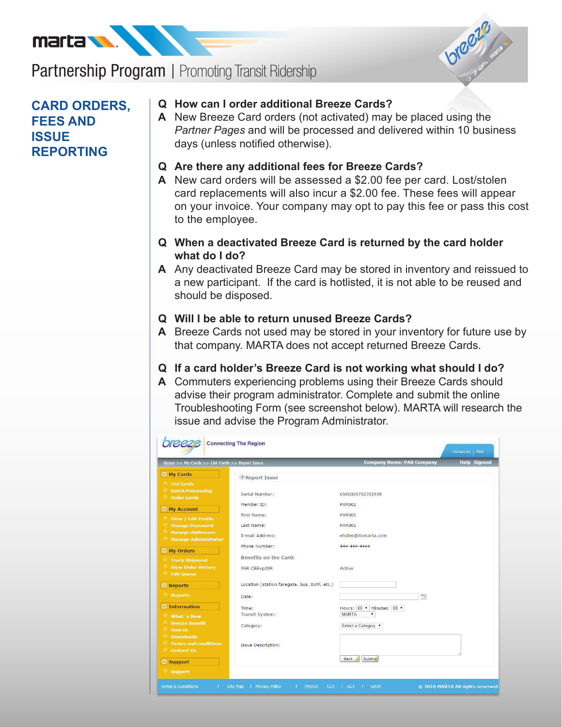



# **CARD ORDERS, FEES AND ISSUE REPORTING**

#### **Q How can I order additional Breeze Cards?**

- **A** New Breeze Card orders (not activated) may be placed using the *Partner Pages* and will be processed and delivered within 10 business days (unless notified otherwise).
- **Q Are there any additional fees for Breeze Cards?**
- **A** New card orders will be assessed a \$2.00 fee per card. Lost/stolen card replacements will also incur a \$2.00 fee. These fees will appear on your invoice. Your company may opt to pay this fee or pass this cost to the employee.
- **Q When a deactivated Breeze Card is returned by the card holder what do I do?**
- **A** Any deactivated Breeze Card may be stored in inventory and reissued to a new participant. If the card is hotlisted, it is not able to be reused and should be disposed.

#### **Q Will I be able to return unused Breeze Cards?**

- **A** Breeze Cards not used may be stored in your inventory for future use by that company. MARTA does not accept returned Breeze Cards.
- **Q If a card holder's Breeze Card is not working what should I do?**
- **A** Commuters experiencing problems using their Breeze Cards should advise their program administrator. Complete and submit the online Troubleshooting Form (see screenshot below). MARTA will research the issue and advise the Program Administrator.

| Home >> My Cards >> List Cards >> Report Issue     |                                             | <b>Company Name: PAR Company</b> | <b>Help Signout</b> |  |
|----------------------------------------------------|---------------------------------------------|----------------------------------|---------------------|--|
| My Cards                                           | Report Issue                                |                                  |                     |  |
| $\odot$ List Cards                                 |                                             |                                  |                     |  |
| $\odot$ Batch Processing<br>$\odot$ Order Cards    | Serial Number:                              | 0160029732701938                 |                     |  |
| $\Theta$ My Account                                | Member <sub>ID:</sub>                       | <b>PAR001</b>                    |                     |  |
| <b>View / Edit Profile</b><br>$\odot$              | First Name:                                 | <b>PAR001</b>                    |                     |  |
| $\circledcirc$<br><b>Change Password</b>           | Last Name:                                  | <b>PAR001</b>                    |                     |  |
| $\odot$<br><b>Manage Addresses</b><br>$\odot$      | E-mail Address:                             | efuller@itsmarta.com             |                     |  |
| <b>Manage Administrator</b>                        | Phone Number:                               | 444-444-4444                     |                     |  |
| My Orders                                          | <b>Benefits on the Card:</b>                |                                  |                     |  |
| $\odot$ Track Shipment                             |                                             |                                  |                     |  |
| <b>E</b> View Order History<br>$\Theta$ Edit Queue | PAR CBExp20R                                | Active                           |                     |  |
|                                                    |                                             |                                  |                     |  |
| <b>A</b> Reports                                   | Location (station faregate, bus, BVM, etc.) |                                  |                     |  |
| ◉<br><b>Reports</b>                                | Date:                                       | $\overline{\phantom{a}}$         |                     |  |
| <b>O</b> Information                               | Time:                                       | Hours: 00 V Minutes: 00 V        |                     |  |
| ۳<br>What's New                                    | Transit System:                             | <b>MARTA</b><br>۷                |                     |  |
| $\circ$<br><b>Breeze Benefit</b>                   |                                             | Select a Category ▼              |                     |  |
| <b>E</b> How to                                    | Category:                                   |                                  |                     |  |
| $\odot$<br><b>Downloads</b>                        |                                             |                                  |                     |  |
| $\odot$<br><b>Terms and conditions</b>             | <b>Issue Description:</b>                   |                                  |                     |  |
| $\odot$ Contact Us                                 |                                             |                                  |                     |  |
| Support                                            |                                             | Submit<br><b>Back</b>            |                     |  |
| $\odot$ Support                                    |                                             |                                  |                     |  |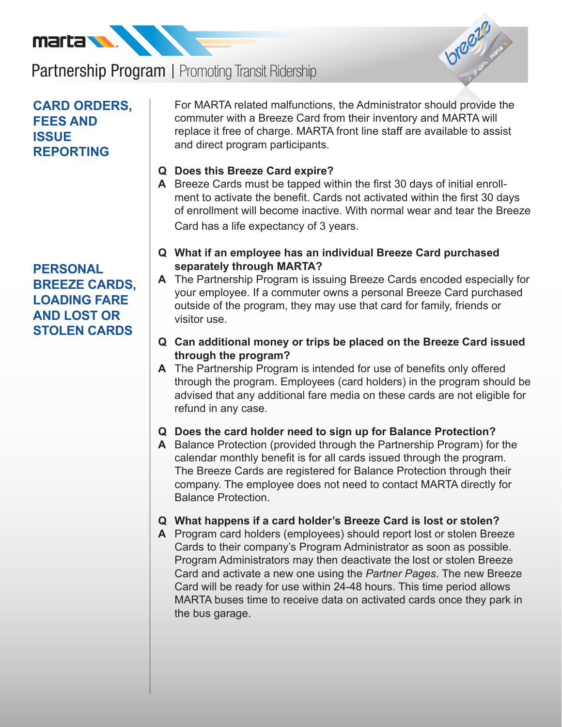



# **CARD ORDERS, FEES AND ISSUE REPORTING**

# **PERSONAL BREEZE CARDS, LOADING FARE AND LOST OR STOLEN CARDS**

For MARTA related malfunctions, the Administrator should provide the commuter with a Breeze Card from their inventory and MARTA will replace it free of charge. MARTA front line staff are available to assist and direct program participants.

### **Q Does this Breeze Card expire?**

- **A** Breeze Cards must be tapped within the first 30 days of initial enrollment to activate the benefit. Cards not activated within the first 30 days of enrollment will become inactive. With normal wear and tear the Breeze Card has a life expectancy of 3 years.
- **Q What if an employee has an individual Breeze Card purchased separately through MARTA?**
- **A** The Partnership Program is issuing Breeze Cards encoded especially for your employee. If a commuter owns a personal Breeze Card purchased outside of the program, they may use that card for family, friends or visitor use.
- **Q Can additional money or trips be placed on the Breeze Card issued through the program?**
- **A** The Partnership Program is intended for use of benefits only offered through the program. Employees (card holders) in the program should be advised that any additional fare media on these cards are not eligible for refund in any case.

#### **Q Does the card holder need to sign up for Balance Protection?**

**A** Balance Protection (provided through the Partnership Program) for the calendar monthly benefit is for all cards issued through the program. The Breeze Cards are registered for Balance Protection through their company. The employee does not need to contact MARTA directly for Balance Protection.

#### **Q What happens if a card holder's Breeze Card is lost or stolen?**

**A** Program card holders (employees) should report lost or stolen Breeze Cards to their company's Program Administrator as soon as possible. Program Administrators may then deactivate the lost or stolen Breeze Card and activate a new one using the *Partner Pages*. The new Breeze Card will be ready for use within 24-48 hours. This time period allows MARTA buses time to receive data on activated cards once they park in the bus garage.